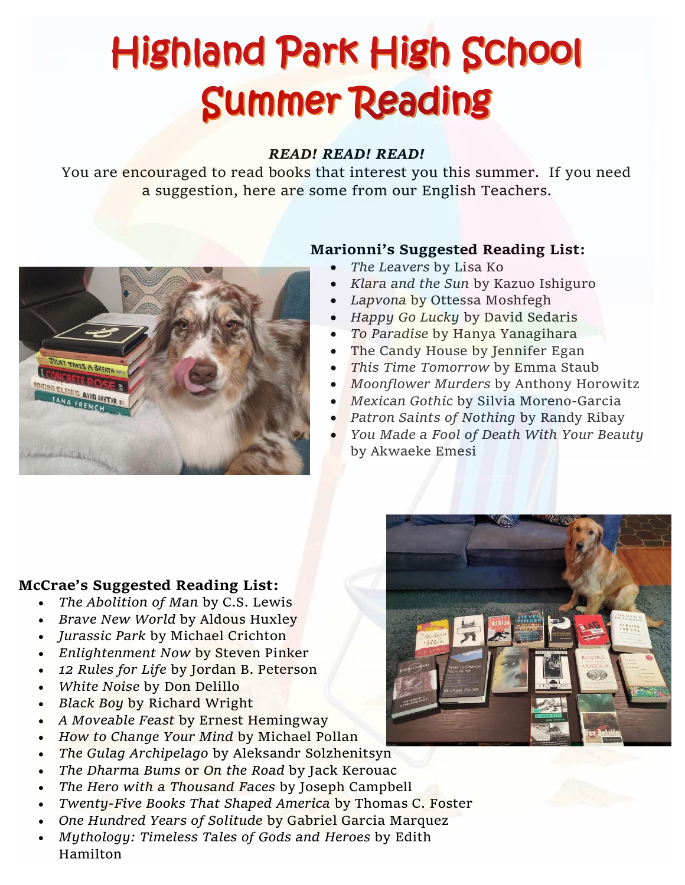# **Highland Park High School Summer Reading**

#### *READ! READ! READ!*

You are encouraged to read books that interest you this summer. If you need a suggestion, here are some from our English Teachers.



### **Marionni's Suggested Reading List:**

- *The Leavers* by Lisa Ko
- *Klara and the Sun* by Kazuo Ishiguro
- *Lapvona* by Ottessa Moshfegh
- *Happy Go Lucky* by David Sedaris
- *To Paradise* by Hanya Yanagihara
- The Candy House by Jennifer Egan
- *This Time Tomorrow* by Emma Staub
- *Moonflower Murders* by Anthony Horowitz
- *Mexican Gothic* by Silvia Moreno-Garcia
- *Patron Saints of Nothing* by Randy Ribay
- *You Made a Fool of Death With Your Beauty* by Akwaeke Emesi



#### **McCrae's Suggested Reading List:**

- *The Abolition of Man* by C.S. Lewis
- *Brave New World* by Aldous Huxley
- *Jurassic Park* by Michael Crichton
- *Enlightenment Now* by Steven Pinker
- *12 Rules for Life* by Jordan B. Peterson
- *White Noise* by Don Delillo
- *Black Boy* by Richard Wright
- *A Moveable Feast* by Ernest Hemingway
- *How to Change Your Mind* by Michael Pollan
- *The Gulag Archipelago* by Aleksandr Solzhenitsyn
- *The Dharma Bums* or *On the Road* by Jack Kerouac
- *The Hero with a Thousand Faces* by Joseph Campbell
- *Twenty-Five Books That Shaped America* by Thomas C. Foster
- *One Hundred Years of Solitude* by Gabriel Garcia Marquez
- *Mythology: Timeless Tales of Gods and Heroes* by Edith Hamilton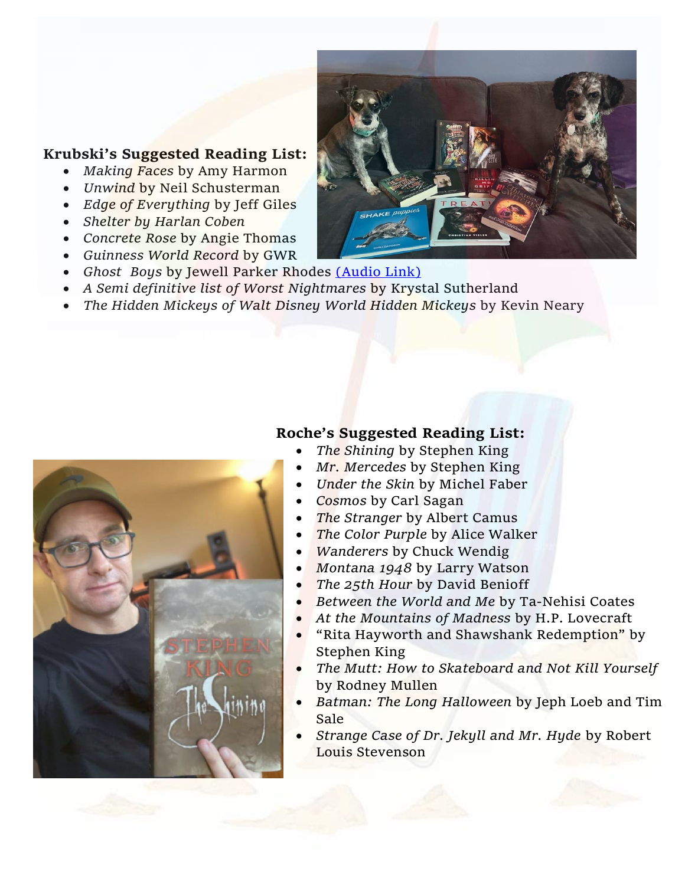#### **Krubski's Suggested Reading List:**

- *Making Faces* by Amy Harmon
- *Unwind* by Neil Schusterman
- *Edge of Everything* by Jeff Giles
- *Shelter by Harlan Coben*
- *Concrete Rose* by Angie Thomas
- *Guinness World Record* by GWR
- *Ghost Boys* by Jewell Parker Rhodes [\(Audio Link\)](https://www.youtube.com/watch?v=CuAQ6B3PY9g)
- *A Semi definitive list of Worst Nightmares* by Krystal Sutherland
- *The Hidden Mickeys of Walt Disney World Hidden Mickeys* by Kevin Neary

## **Roche's Suggested Reading List:**

- *The Shining* by Stephen King
- *Mr. Mercedes* by Stephen King
- *Under the Skin* by Michel Faber
- *Cosmos* by Carl Sagan
- *The Stranger* by Albert Camus
- *The Color Purple* by Alice Walker
- *Wanderers* by Chuck Wendig
- *Montana 1948* by Larry Watson
- *The 25th Hour* by David Benioff
- *Between the World and Me* by Ta-Nehisi Coates
- *At the Mountains of Madness* by H.P. Lovecraft
- "Rita Hayworth and Shawshank Redemption" by Stephen King
- *The Mutt: How to Skateboard and Not Kill Yourself* by Rodney Mullen
- *Batman: The Long Halloween* by Jeph Loeb and Tim Sale
- *Strange Case of Dr. Jekyll and Mr. Hyde* by Robert Louis Stevenson